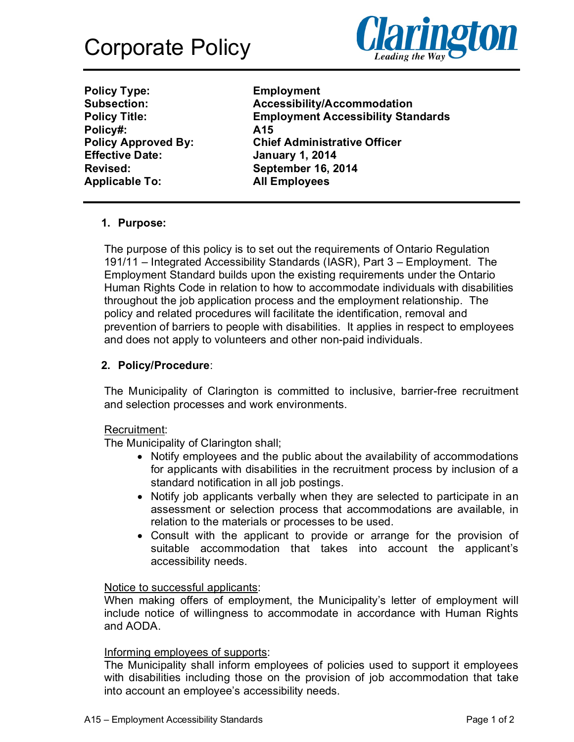

| <b>Policy Type:</b>                                                                                         | Emr                              |                       |       |
|-------------------------------------------------------------------------------------------------------------|----------------------------------|-----------------------|-------|
| <b>Subsection:</b>                                                                                          | <b>Acc</b>                       |                       |       |
| <b>Policy Title:</b><br>Policy#:<br><b>Policy Approved By:</b><br><b>Effective Date:</b><br><b>Revised:</b> | Emr<br>A15<br>Chie<br>Jan<br>Sep |                       |       |
|                                                                                                             |                                  | <b>Applicable To:</b> | All I |
|                                                                                                             |                                  |                       |       |

**Employment Subsection: Accessibility/Accommodation Employment Accessibility Standards Chief Administrative Officer January 1, 2014 Revised: September 16, 2014 All Employees** 

# **1. Purpose:**

The purpose of this policy is to set out the requirements of Ontario Regulation 191/11 – Integrated Accessibility Standards (IASR), Part 3 – Employment. The Employment Standard builds upon the existing requirements under the Ontario Human Rights Code in relation to how to accommodate individuals with disabilities throughout the job application process and the employment relationship. The policy and related procedures will facilitate the identification, removal and prevention of barriers to people with disabilities. It applies in respect to employees and does not apply to volunteers and other non-paid individuals.

# **2. Policy/Procedure**:

The Municipality of Clarington is committed to inclusive, barrier-free recruitment and selection processes and work environments.

# Recruitment:

The Municipality of Clarington shall;

- Notify employees and the public about the availability of accommodations for applicants with disabilities in the recruitment process by inclusion of a standard notification in all job postings.
- Notify job applicants verbally when they are selected to participate in an assessment or selection process that accommodations are available, in relation to the materials or processes to be used.
- Consult with the applicant to provide or arrange for the provision of suitable accommodation that takes into account the applicant's accessibility needs.

## Notice to successful applicants:

When making offers of employment, the Municipality's letter of employment will include notice of willingness to accommodate in accordance with Human Rights and AODA.

# Informing employees of supports:

The Municipality shall inform employees of policies used to support it employees with disabilities including those on the provision of job accommodation that take into account an employee's accessibility needs.